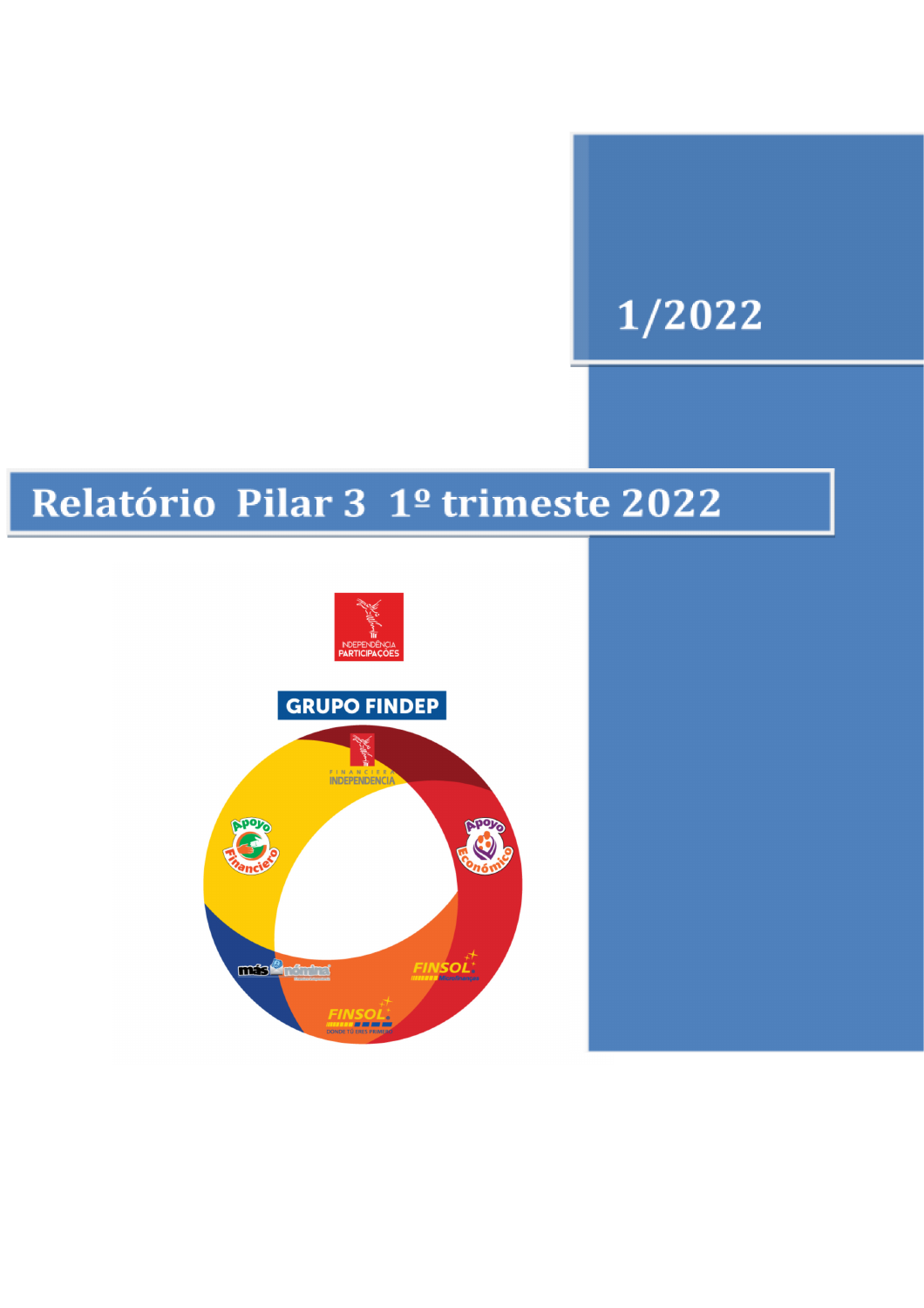# 1/2022

# Relatório Pilar 3 1º trimeste 2022

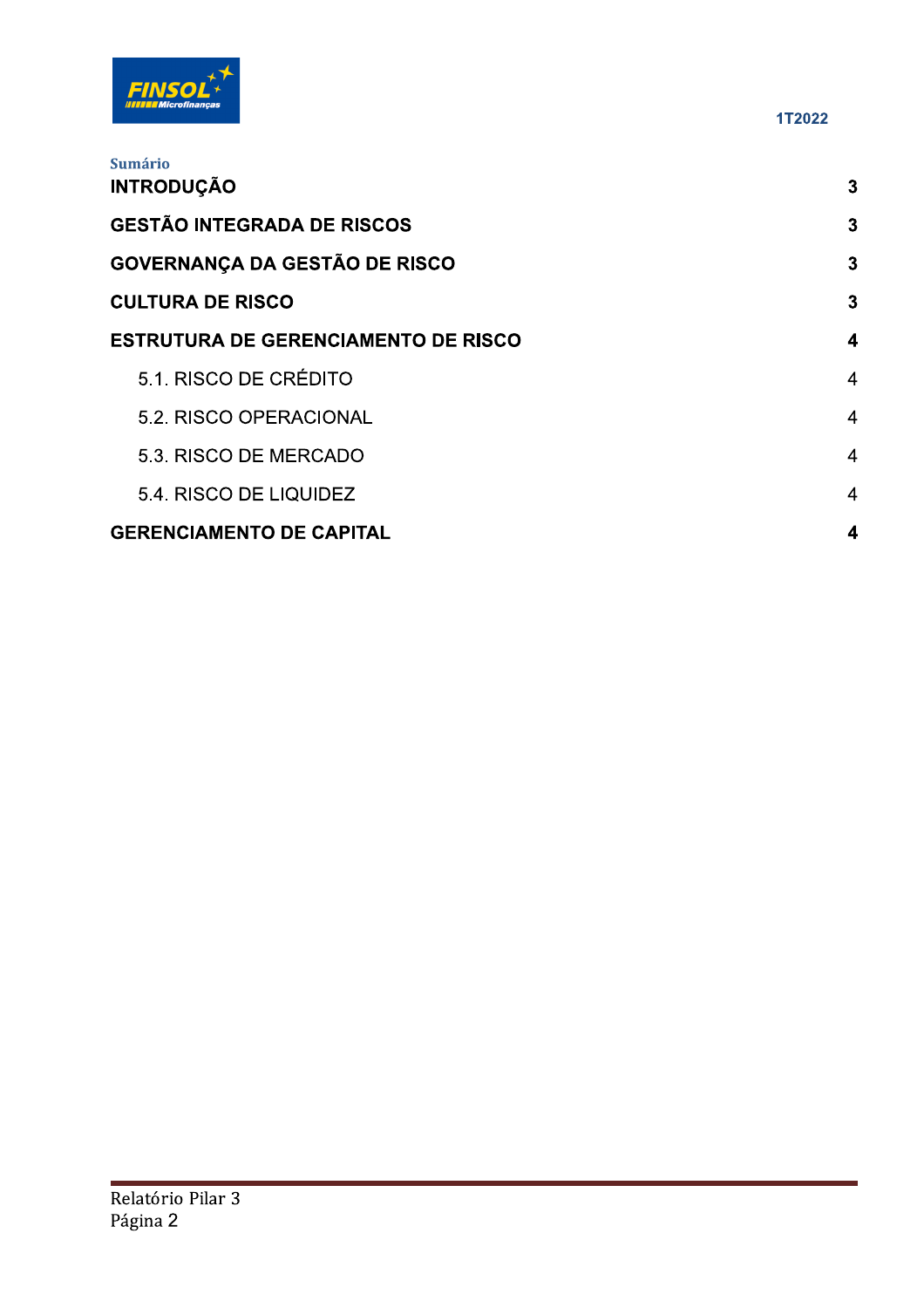

| <b>Sumário</b><br><b>INTRODUÇÃO</b>        | $\mathbf{3}$     |
|--------------------------------------------|------------------|
| <b>GESTÃO INTEGRADA DE RISCOS</b>          | $\mathbf{3}$     |
|                                            |                  |
| <b>GOVERNANÇA DA GESTÃO DE RISCO</b>       | 3                |
| <b>CULTURA DE RISCO</b>                    | $\mathbf{3}$     |
| <b>ESTRUTURA DE GERENCIAMENTO DE RISCO</b> | 4                |
| 5.1. RISCO DE CRÉDITO                      | $\overline{4}$   |
| 5.2. RISCO OPERACIONAL                     | $\overline{4}$   |
| 5.3. RISCO DE MERCADO                      | $\overline{4}$   |
| 5.4. RISCO DE LIQUIDEZ                     | $\overline{4}$   |
| <b>GERENCIAMENTO DE CAPITAL</b>            | $\boldsymbol{4}$ |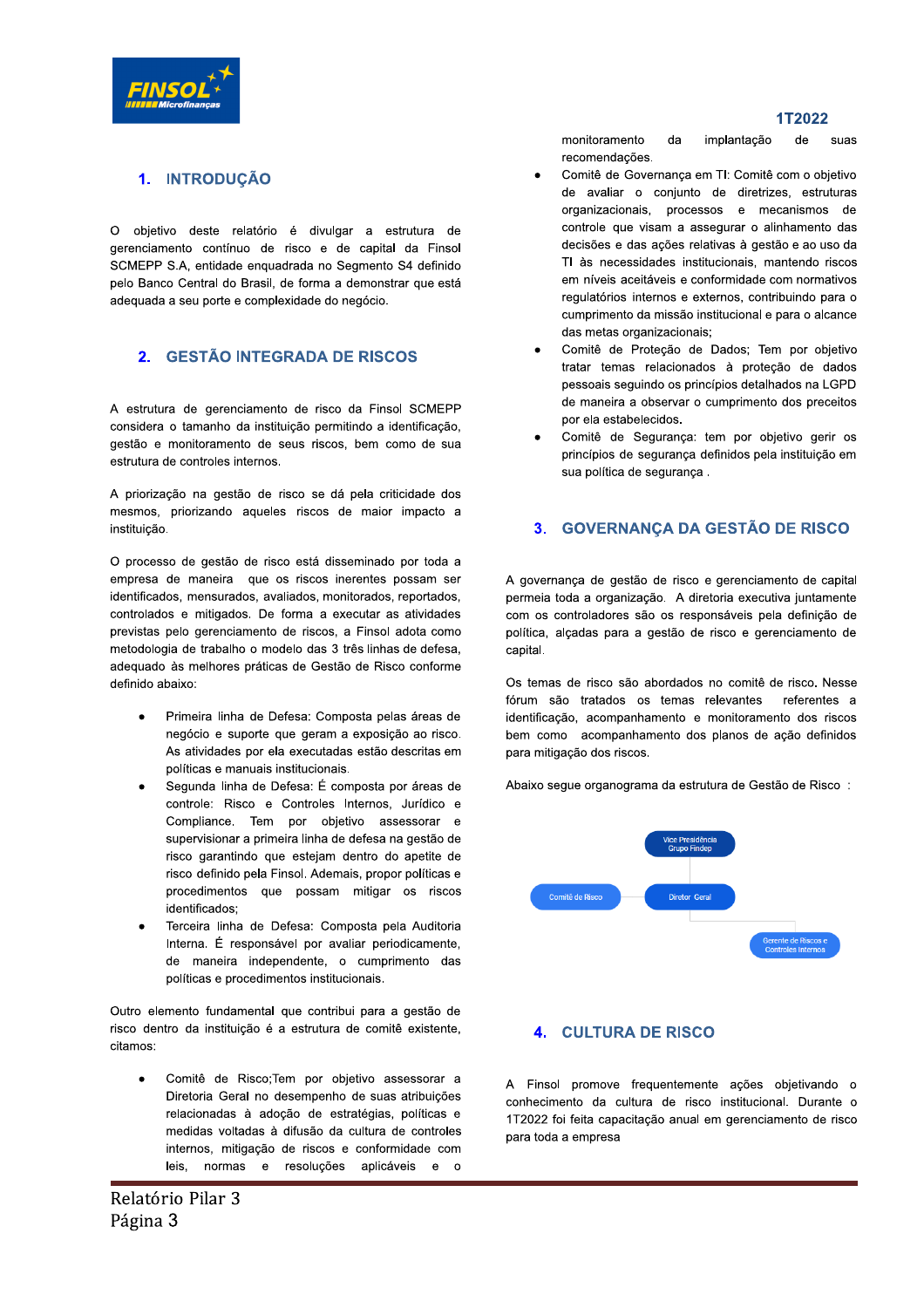

# 1. INTRODUCÃO

O objetivo deste relatório é divulgar a estrutura de gerenciamento contínuo de risco e de capital da Finsol SCMEPP S.A, entidade enquadrada no Segmento S4 definido pelo Banco Central do Brasil, de forma a demonstrar que está adequada a seu porte e complexidade do negócio.

## 2. GESTÃO INTEGRADA DE RISCOS

A estrutura de gerenciamento de risco da Finsol SCMEPP considera o tamanho da instituição permitindo a identificação, gestão e monitoramento de seus riscos, bem como de sua estrutura de controles internos.

A priorização na gestão de risco se dá pela criticidade dos mesmos, priorizando aqueles riscos de maior impacto a instituição.

O processo de gestão de risco está disseminado por toda a empresa de maneira que os riscos inerentes possam ser identificados, mensurados, avaliados, monitorados, reportados, controlados e mitigados. De forma a executar as atividades previstas pelo gerenciamento de riscos, a Finsol adota como metodologia de trabalho o modelo das 3 três linhas de defesa, adequado às melhores práticas de Gestão de Risco conforme definido abaixo:

- Primeira linha de Defesa: Composta pelas áreas de  $\bullet$ negócio e suporte que geram a exposição ao risco. As atividades por ela executadas estão descritas em políticas e manuais institucionais.
- Segunda linha de Defesa: É composta por áreas de controle: Risco e Controles Internos, Jurídico e Compliance. Tem por objetivo assessorar e supervisionar a primeira linha de defesa na gestão de risco garantindo que estejam dentro do apetite de risco definido pela Finsol. Ademais, propor políticas e procedimentos que possam mitigar os riscos identificados:
- Terceira linha de Defesa: Composta pela Auditoria Interna. É responsável por avaliar periodicamente, de maneira independente, o cumprimento das políticas e procedimentos institucionais.

Outro elemento fundamental que contribui para a gestão de risco dentro da instituição é a estrutura de comitê existente, citamos:

Comitê de Risco; Tem por objetivo assessorar a Diretoria Geral no desempenho de suas atribuições relacionadas à adoção de estratégias, políticas e medidas voltadas à difusão da cultura de controles internos, mitigação de riscos e conformidade com leis, normas e resoluções aplicáveis e o

monitoramento da implantação de suas recomendações.

- Comitê de Governança em TI: Comitê com o objetivo de avaliar o conjunto de diretrizes, estruturas organizacionais, processos e mecanismos de controle que visam a assegurar o alinhamento das decisões e das ações relativas à gestão e ao uso da TI às necessidades institucionais, mantendo riscos em níveis aceitáveis e conformidade com normativos regulatórios internos e externos, contribuindo para o cumprimento da missão institucional e para o alcance das metas organizacionais;
- Comitê de Proteção de Dados; Tem por objetivo tratar temas relacionados à proteção de dados pessoais seguindo os princípios detalhados na LGPD de maneira a observar o cumprimento dos preceitos por ela estabelecidos.
- Comitê de Seguranca: tem por objetivo gerir os princípios de seguranca definidos pela instituição em sua política de seguranca.

#### **GOVERNANCA DA GESTÃO DE RISCO**  $3<sub>1</sub>$

A governança de gestão de risco e gerenciamento de capital permeia toda a organização. A diretoria executiva juntamente com os controladores são os responsáveis pela definição de política, alçadas para a gestão de risco e gerenciamento de capital.

Os temas de risco são abordados no comitê de risco. Nesse fórum são tratados os temas relevantes referentes a identificação, acompanhamento e monitoramento dos riscos bem como acompanhamento dos planos de ação definidos para mitigação dos riscos.

Abaixo segue organograma da estrutura de Gestão de Risco:



### **4. CULTURA DE RISCO**

A Finsol promove frequentemente ações objetivando o conhecimento da cultura de risco institucional. Durante o 1T2022 foi feita capacitação anual em gerenciamento de risco para toda a empresa